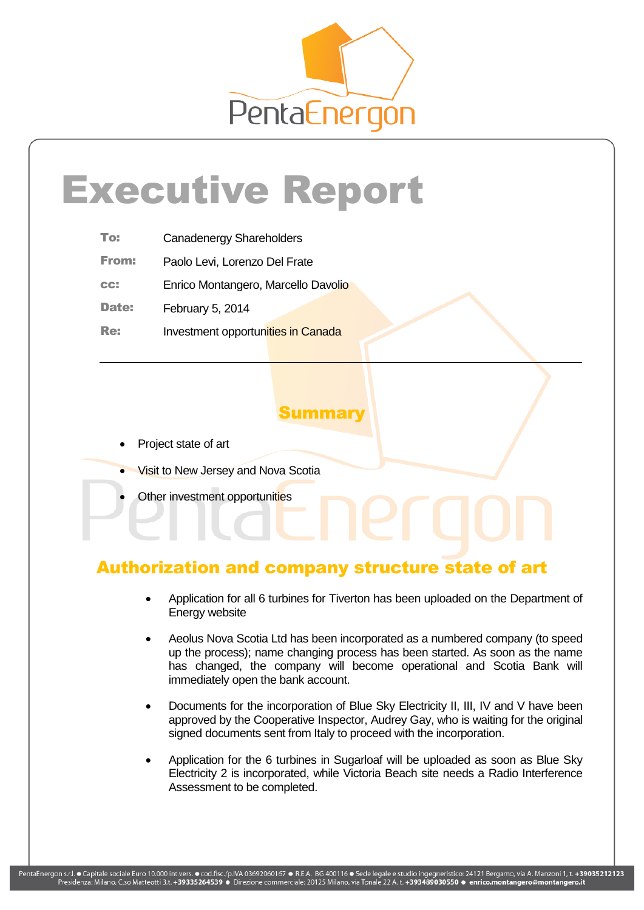

# Executive Report

| To: | <b>Canadenergy Shareholders</b> |
|-----|---------------------------------|
|-----|---------------------------------|

From: Paolo Levi, Lorenzo Del Frate

cc: Enrico Montangero, Marcello Davolio

Date: February 5, 2014

Re: Investment opportunities in Canada

# Summary

- Project state of art
- Visit to New Jersey and Nova Scotia
- Other investment opportunities

# Authorization and company structure state of art

- Application for all 6 turbines for Tiverton has been uploaded on the Department of Energy website
- Aeolus Nova Scotia Ltd has been incorporated as a numbered company (to speed up the process); name changing process has been started. As soon as the name has changed, the company will become operational and Scotia Bank will immediately open the bank account.
- Documents for the incorporation of Blue Sky Electricity II, III, IV and V have been approved by the Cooperative Inspector, Audrey Gay, who is waiting for the original signed documents sent from Italy to proceed with the incorporation.
- Application for the 6 turbines in Sugarloaf will be uploaded as soon as Blue Sky Electricity 2 is incorporated, while Victoria Beach site needs a Radio Interference Assessment to be completed.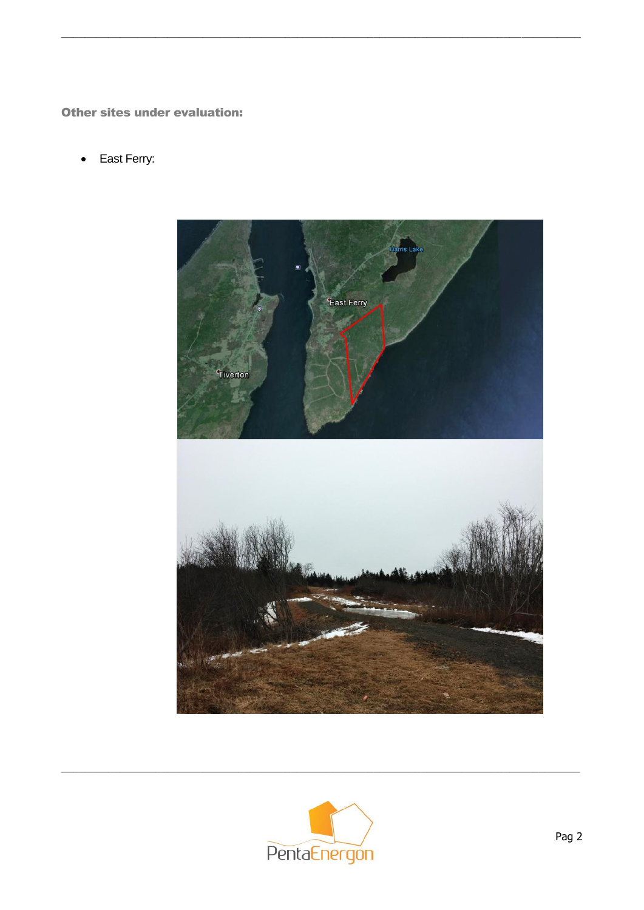Other sites under evaluation:

East Ferry:  $\bullet$ 



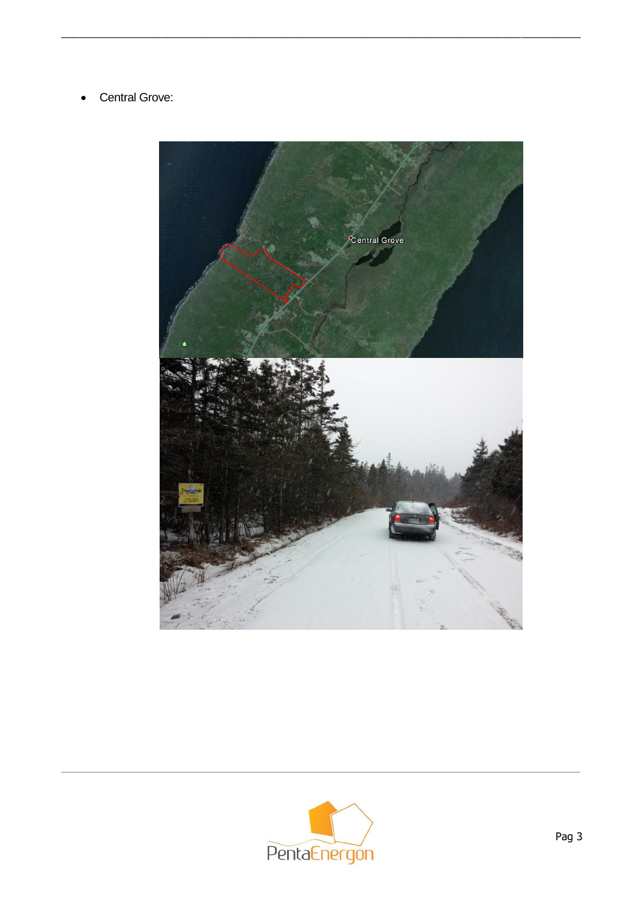Central Grove:  $\bullet$ 



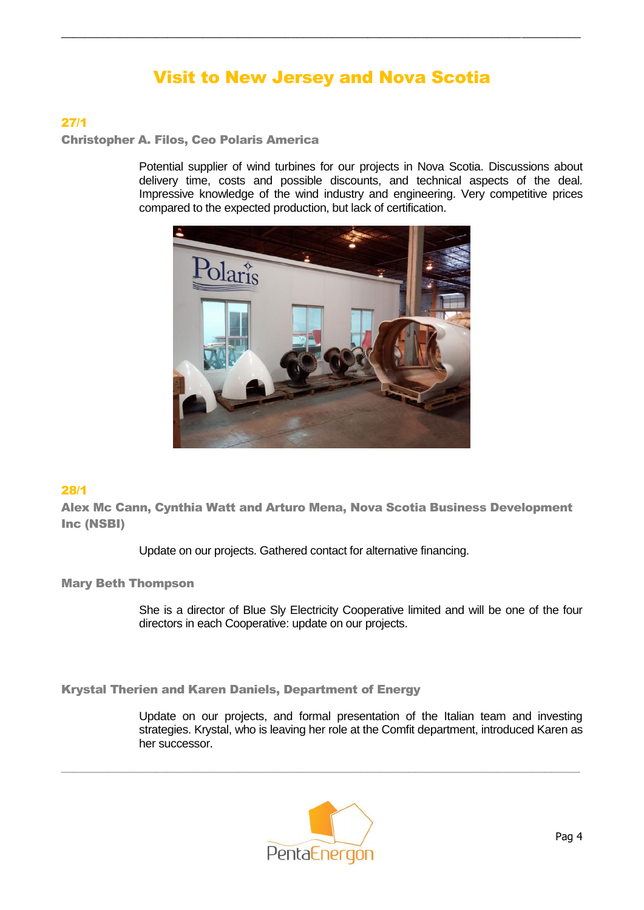# Visit to New Jersey and Nova Scotia

 $\_$  , and the set of the set of the set of the set of the set of the set of the set of the set of the set of the set of the set of the set of the set of the set of the set of the set of the set of the set of the set of th

## 27/1

Christopher A. Filos, Ceo Polaris America

Potential supplier of wind turbines for our projects in Nova Scotia. Discussions about delivery time, costs and possible discounts, and technical aspects of the deal. Impressive knowledge of the wind industry and engineering. Very competitive prices compared to the expected production, but lack of certification.



## 28/1

Alex Mc Cann, Cynthia Watt and Arturo Mena, Nova Scotia Business Development Inc (NSBI)

Update on our projects. Gathered contact for alternative financing.

#### Mary Beth Thompson

She is a director of Blue Sly Electricity Cooperative limited and will be one of the four directors in each Cooperative: update on our projects.

Krystal Therien and Karen Daniels, Department of Energy

Update on our projects, and formal presentation of the Italian team and investing strategies. Krystal, who is leaving her role at the Comfit department, introduced Karen as her successor.



 $\_$  , and the set of the set of the set of the set of the set of the set of the set of the set of the set of the set of the set of the set of the set of the set of the set of the set of the set of the set of the set of th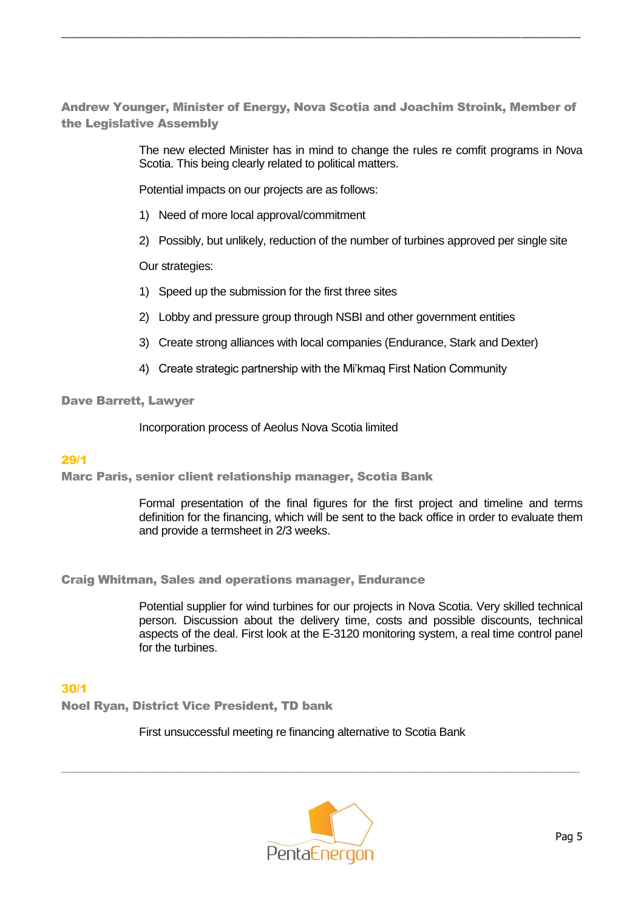Andrew Younger, Minister of Energy, Nova Scotia and Joachim Stroink, Member of the Legislative Assembly

 $\_$  , and the set of the set of the set of the set of the set of the set of the set of the set of the set of the set of the set of the set of the set of the set of the set of the set of the set of the set of the set of th

The new elected Minister has in mind to change the rules re comfit programs in Nova Scotia. This being clearly related to political matters.

Potential impacts on our projects are as follows:

- 1) Need of more local approval/commitment
- 2) Possibly, but unlikely, reduction of the number of turbines approved per single site

Our strategies:

- 1) Speed up the submission for the first three sites
- 2) Lobby and pressure group through NSBI and other government entities
- 3) Create strong alliances with local companies (Endurance, Stark and Dexter)
- 4) Create strategic partnership with the Mi'kmaq First Nation Community

Dave Barrett, Lawyer

Incorporation process of Aeolus Nova Scotia limited

#### 29/1

Marc Paris, senior client relationship manager, Scotia Bank

Formal presentation of the final figures for the first project and timeline and terms definition for the financing, which will be sent to the back office in order to evaluate them and provide a termsheet in 2/3 weeks.

Craig Whitman, Sales and operations manager, Endurance

Potential supplier for wind turbines for our projects in Nova Scotia. Very skilled technical person. Discussion about the delivery time, costs and possible discounts, technical aspects of the deal. First look at the E-3120 monitoring system, a real time control panel for the turbines.

## 30/1

Noel Ryan, District Vice President, TD bank

First unsuccessful meeting re financing alternative to Scotia Bank



 $\_$  , and the set of the set of the set of the set of the set of the set of the set of the set of the set of the set of the set of the set of the set of the set of the set of the set of the set of the set of the set of th